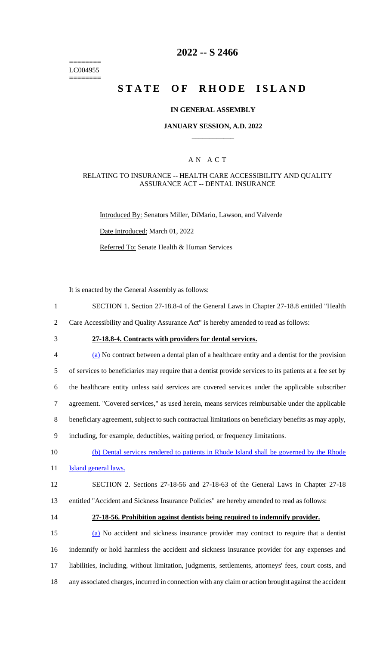======== LC004955 ========

# **2022 -- S 2466**

# **STATE OF RHODE ISLAND**

#### **IN GENERAL ASSEMBLY**

#### **JANUARY SESSION, A.D. 2022 \_\_\_\_\_\_\_\_\_\_\_\_**

### A N A C T

#### RELATING TO INSURANCE -- HEALTH CARE ACCESSIBILITY AND QUALITY ASSURANCE ACT -- DENTAL INSURANCE

Introduced By: Senators Miller, DiMario, Lawson, and Valverde

Date Introduced: March 01, 2022

Referred To: Senate Health & Human Services

It is enacted by the General Assembly as follows:

1 SECTION 1. Section 27-18.8-4 of the General Laws in Chapter 27-18.8 entitled "Health

2 Care Accessibility and Quality Assurance Act" is hereby amended to read as follows:

# 3 **27-18.8-4. Contracts with providers for dental services.**

 (a) No contract between a dental plan of a healthcare entity and a dentist for the provision of services to beneficiaries may require that a dentist provide services to its patients at a fee set by the healthcare entity unless said services are covered services under the applicable subscriber agreement. "Covered services," as used herein, means services reimbursable under the applicable beneficiary agreement, subject to such contractual limitations on beneficiary benefits as may apply, including, for example, deductibles, waiting period, or frequency limitations. (b) Dental services rendered to patients in Rhode Island shall be governed by the Rhode **Island general laws.** SECTION 2. Sections 27-18-56 and 27-18-63 of the General Laws in Chapter 27-18

13 entitled "Accident and Sickness Insurance Policies" are hereby amended to read as follows:

#### 14 **27-18-56. Prohibition against dentists being required to indemnify provider.**

 (a) No accident and sickness insurance provider may contract to require that a dentist indemnify or hold harmless the accident and sickness insurance provider for any expenses and liabilities, including, without limitation, judgments, settlements, attorneys' fees, court costs, and any associated charges, incurred in connection with any claim or action brought against the accident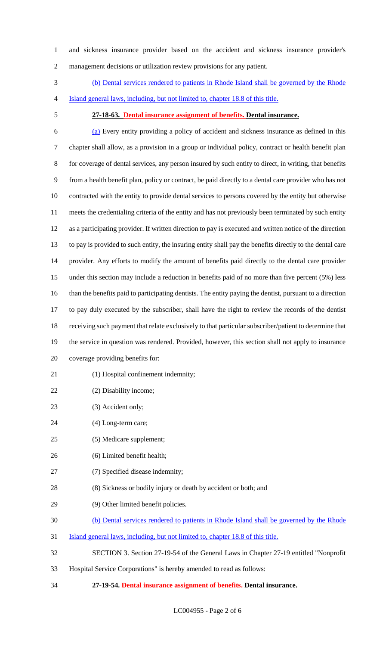and sickness insurance provider based on the accident and sickness insurance provider's management decisions or utilization review provisions for any patient.

 (b) Dental services rendered to patients in Rhode Island shall be governed by the Rhode Island general laws, including, but not limited to, chapter 18.8 of this title.

# **27-18-63. Dental insurance assignment of benefits. Dental insurance.**

 (a) Every entity providing a policy of accident and sickness insurance as defined in this chapter shall allow, as a provision in a group or individual policy, contract or health benefit plan for coverage of dental services, any person insured by such entity to direct, in writing, that benefits from a health benefit plan, policy or contract, be paid directly to a dental care provider who has not contracted with the entity to provide dental services to persons covered by the entity but otherwise meets the credentialing criteria of the entity and has not previously been terminated by such entity as a participating provider. If written direction to pay is executed and written notice of the direction to pay is provided to such entity, the insuring entity shall pay the benefits directly to the dental care provider. Any efforts to modify the amount of benefits paid directly to the dental care provider under this section may include a reduction in benefits paid of no more than five percent (5%) less than the benefits paid to participating dentists. The entity paying the dentist, pursuant to a direction to pay duly executed by the subscriber, shall have the right to review the records of the dentist receiving such payment that relate exclusively to that particular subscriber/patient to determine that the service in question was rendered. Provided, however, this section shall not apply to insurance coverage providing benefits for:

- 21 (1) Hospital confinement indemnity;
- (2) Disability income;
- 23 (3) Accident only;
- (4) Long-term care;
- (5) Medicare supplement;
- (6) Limited benefit health;
- (7) Specified disease indemnity;
- (8) Sickness or bodily injury or death by accident or both; and
- (9) Other limited benefit policies.
- (b) Dental services rendered to patients in Rhode Island shall be governed by the Rhode
- Island general laws, including, but not limited to, chapter 18.8 of this title.
- SECTION 3. Section 27-19-54 of the General Laws in Chapter 27-19 entitled "Nonprofit
- Hospital Service Corporations" is hereby amended to read as follows:
- **27-19-54. Dental insurance assignment of benefits. Dental insurance.**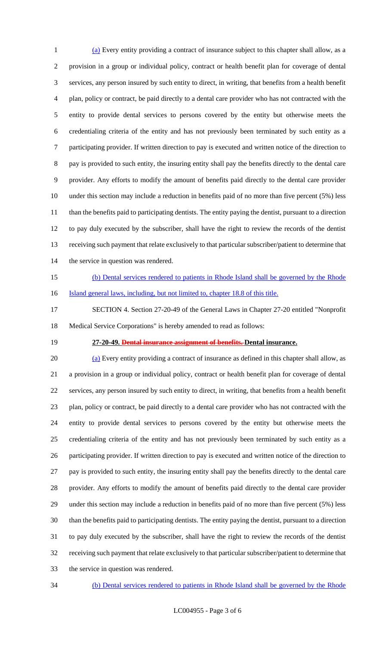(a) Every entity providing a contract of insurance subject to this chapter shall allow, as a provision in a group or individual policy, contract or health benefit plan for coverage of dental services, any person insured by such entity to direct, in writing, that benefits from a health benefit plan, policy or contract, be paid directly to a dental care provider who has not contracted with the entity to provide dental services to persons covered by the entity but otherwise meets the credentialing criteria of the entity and has not previously been terminated by such entity as a participating provider. If written direction to pay is executed and written notice of the direction to pay is provided to such entity, the insuring entity shall pay the benefits directly to the dental care provider. Any efforts to modify the amount of benefits paid directly to the dental care provider under this section may include a reduction in benefits paid of no more than five percent (5%) less than the benefits paid to participating dentists. The entity paying the dentist, pursuant to a direction to pay duly executed by the subscriber, shall have the right to review the records of the dentist receiving such payment that relate exclusively to that particular subscriber/patient to determine that 14 the service in question was rendered.

- 
- 
- (b) Dental services rendered to patients in Rhode Island shall be governed by the Rhode 16 Island general laws, including, but not limited to, chapter 18.8 of this title.
- SECTION 4. Section 27-20-49 of the General Laws in Chapter 27-20 entitled "Nonprofit Medical Service Corporations" is hereby amended to read as follows:
- 

# **27-20-49. Dental insurance assignment of benefits. Dental insurance.**

 (a) Every entity providing a contract of insurance as defined in this chapter shall allow, as a provision in a group or individual policy, contract or health benefit plan for coverage of dental services, any person insured by such entity to direct, in writing, that benefits from a health benefit plan, policy or contract, be paid directly to a dental care provider who has not contracted with the entity to provide dental services to persons covered by the entity but otherwise meets the credentialing criteria of the entity and has not previously been terminated by such entity as a participating provider. If written direction to pay is executed and written notice of the direction to pay is provided to such entity, the insuring entity shall pay the benefits directly to the dental care provider. Any efforts to modify the amount of benefits paid directly to the dental care provider under this section may include a reduction in benefits paid of no more than five percent (5%) less than the benefits paid to participating dentists. The entity paying the dentist, pursuant to a direction to pay duly executed by the subscriber, shall have the right to review the records of the dentist receiving such payment that relate exclusively to that particular subscriber/patient to determine that the service in question was rendered.

(b) Dental services rendered to patients in Rhode Island shall be governed by the Rhode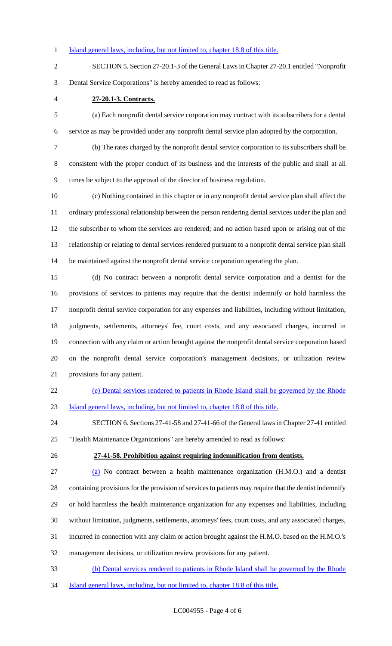#### 1 Island general laws, including, but not limited to, chapter 18.8 of this title.

 SECTION 5. Section 27-20.1-3 of the General Laws in Chapter 27-20.1 entitled "Nonprofit Dental Service Corporations" is hereby amended to read as follows:

**27-20.1-3. Contracts.**

 (a) Each nonprofit dental service corporation may contract with its subscribers for a dental service as may be provided under any nonprofit dental service plan adopted by the corporation.

 (b) The rates charged by the nonprofit dental service corporation to its subscribers shall be consistent with the proper conduct of its business and the interests of the public and shall at all times be subject to the approval of the director of business regulation.

 (c) Nothing contained in this chapter or in any nonprofit dental service plan shall affect the ordinary professional relationship between the person rendering dental services under the plan and the subscriber to whom the services are rendered; and no action based upon or arising out of the relationship or relating to dental services rendered pursuant to a nonprofit dental service plan shall be maintained against the nonprofit dental service corporation operating the plan.

 (d) No contract between a nonprofit dental service corporation and a dentist for the provisions of services to patients may require that the dentist indemnify or hold harmless the nonprofit dental service corporation for any expenses and liabilities, including without limitation, judgments, settlements, attorneys' fee, court costs, and any associated charges, incurred in connection with any claim or action brought against the nonprofit dental service corporation based on the nonprofit dental service corporation's management decisions, or utilization review provisions for any patient.

# (e) Dental services rendered to patients in Rhode Island shall be governed by the Rhode

Island general laws, including, but not limited to, chapter 18.8 of this title.

 SECTION 6. Sections 27-41-58 and 27-41-66 of the General laws in Chapter 27-41 entitled "Health Maintenance Organizations" are hereby amended to read as follows:

#### **27-41-58. Prohibition against requiring indemnification from dentists.**

 (a) No contract between a health maintenance organization (H.M.O.) and a dentist containing provisions for the provision of services to patients may require that the dentist indemnify or hold harmless the health maintenance organization for any expenses and liabilities, including without limitation, judgments, settlements, attorneys' fees, court costs, and any associated charges, incurred in connection with any claim or action brought against the H.M.O. based on the H.M.O.'s management decisions, or utilization review provisions for any patient.

- (b) Dental services rendered to patients in Rhode Island shall be governed by the Rhode
- Island general laws, including, but not limited to, chapter 18.8 of this title.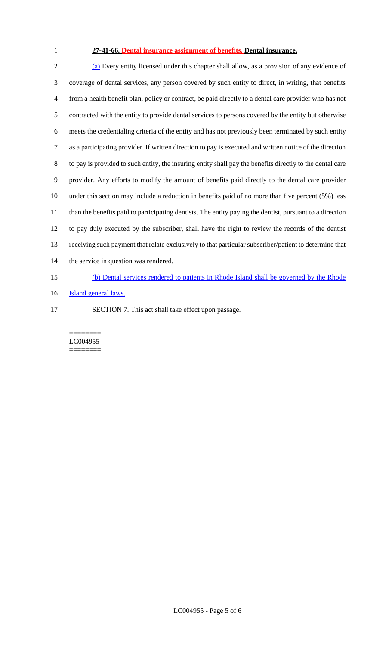# **27-41-66. Dental insurance assignment of benefits. Dental insurance.**

 (a) Every entity licensed under this chapter shall allow, as a provision of any evidence of coverage of dental services, any person covered by such entity to direct, in writing, that benefits from a health benefit plan, policy or contract, be paid directly to a dental care provider who has not contracted with the entity to provide dental services to persons covered by the entity but otherwise meets the credentialing criteria of the entity and has not previously been terminated by such entity as a participating provider. If written direction to pay is executed and written notice of the direction to pay is provided to such entity, the insuring entity shall pay the benefits directly to the dental care provider. Any efforts to modify the amount of benefits paid directly to the dental care provider under this section may include a reduction in benefits paid of no more than five percent (5%) less than the benefits paid to participating dentists. The entity paying the dentist, pursuant to a direction to pay duly executed by the subscriber, shall have the right to review the records of the dentist receiving such payment that relate exclusively to that particular subscriber/patient to determine that 14 the service in question was rendered. (b) Dental services rendered to patients in Rhode Island shall be governed by the Rhode

- **Island general laws.**
- SECTION 7. This act shall take effect upon passage.

======== LC004955 ========